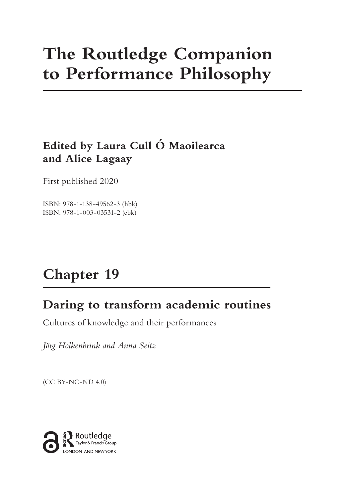# **The Routledge Companion to Performance Philosophy**

### **Edited by Laura Cull Ó Maoilearca and Alice Lagaay**

First published 2020

ISBN: 978-1-138-49562-3 (hbk) ISBN: 978-1-003-03531-2 (ebk)

## **Chapter 19**

### **Daring to transform academic routines**

Cultures of knowledge and their performances

*Jörg Holkenbrink and Anna Seitz*

(CC BY-NC-ND 4.0)

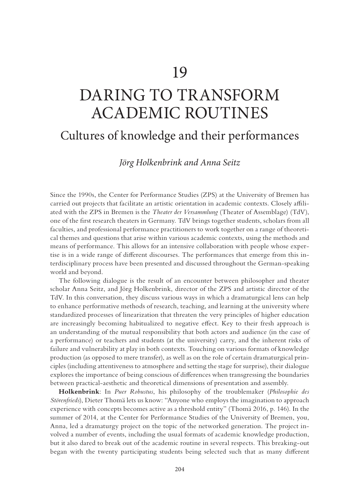## DARING TO TRANSFORM ACADEMIC ROUTINES

### Cultures of knowledge and their performances

*Jörg Holkenbrink and Anna Seitz*

Since the 1990s, the Center for Performance Studies (ZPS) at the University of Bremen has carried out projects that facilitate an artistic orientation in academic contexts. Closely affiliated with the ZPS in Bremen is the *Theater der Versammlung* (Theater of Assemblage) (TdV), one of the first research theaters in Germany. TdV brings together students, scholars from all faculties, and professional performance practitioners to work together on a range of theoretical themes and questions that arise within various academic contexts, using the methods and means of performance. This allows for an intensive collaboration with people whose expertise is in a wide range of different discourses. The performances that emerge from this interdisciplinary process have been presented and discussed throughout the German-speaking world and beyond.

The following dialogue is the result of an encounter between philosopher and theater scholar Anna Seitz, and Jörg Holkenbrink, director of the ZPS and artistic director of the TdV. In this conversation, they discuss various ways in which a dramaturgical lens can help to enhance performative methods of research, teaching, and learning at the university where standardized processes of linearization that threaten the very principles of higher education are increasingly becoming habitualized to negative effect. Key to their fresh approach is an understanding of the mutual responsibility that both actors and audience (in the case of a performance) or teachers and students (at the university) carry, and the inherent risks of failure and vulnerability at play in both contexts. Touching on various formats of knowledge production (as opposed to mere transfer), as well as on the role of certain dramaturgical principles (including attentiveness to atmosphere and setting the stage for surprise), their dialogue explores the importance of being conscious of differences when transgressing the boundaries between practical-aesthetic and theoretical dimensions of presentation and assembly.

**Holkenbrink**: In *Puer Robustus*, his philosophy of the troublemaker (*Philosophie des Störenfrieds*), Dieter Thomä lets us know: "Anyone who employs the imagination to approach experience with concepts becomes active as a threshold entity" (Thomä 2016, p. 146). In the summer of 2014, at the Center for Performance Studies of the University of Bremen, you, Anna, led a dramaturgy project on the topic of the networked generation. The project involved a number of events, including the usual formats of academic knowledge production, but it also dared to break out of the academic routine in several respects. This breaking-out began with the twenty participating students being selected such that as many different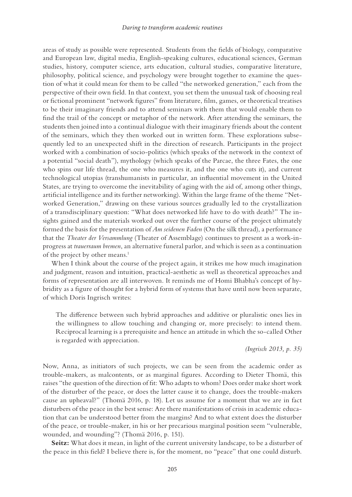areas of study as possible were represented. Students from the fields of biology, comparative and European law, digital media, English-speaking cultures, educational sciences, German studies, history, computer science, arts education, cultural studies, comparative literature, philosophy, political science, and psychology were brought together to examine the question of what it could mean for them to be called "the networked generation," each from the perspective of their own field. In that context, you set them the unusual task of choosing real or fictional prominent "network figures" from literature, film, games, or theoretical treatises to be their imaginary friends and to attend seminars with them that would enable them to find the trail of the concept or metaphor of the network. After attending the seminars, the students then joined into a continual dialogue with their imaginary friends about the content of the seminars, which they then worked out in written form. These explorations subsequently led to an unexpected shift in the direction of research. Participants in the project worked with a combination of socio-politics (which speaks of the network in the context of a potential "social death"), mythology (which speaks of the Parcae, the three Fates, the one who spins our life thread, the one who measures it, and the one who cuts it), and current technological utopias (transhumanists in particular, an influential movement in the United States, are trying to overcome the inevitability of aging with the aid of, among other things, artificial intelligence and its further networking). Within the large frame of the theme "Networked Generation," drawing on these various sources gradually led to the crystallization of a transdisciplinary question: "What does networked life have to do with death?" The insights gained and the materials worked out over the further course of the project ultimately formed the basis for the presentation of *Am seidenen Faden* (On the silk thread), a performance that the *Theater der Versammlung* (Theater of Assemblage) continues to present as a work-inprogress at *trauerraum bremen*, an alternative funeral parlor, and which is seen as a continuation of the project by other means.<sup>1</sup>

When I think about the course of the project again, it strikes me how much imagination and judgment, reason and intuition, practical-aesthetic as well as theoretical approaches and forms of representation are all interwoven. It reminds me of Homi Bhabha's concept of hybridity as a figure of thought for a hybrid form of systems that have until now been separate, of which Doris Ingrisch writes:

The difference between such hybrid approaches and additive or pluralistic ones lies in the willingness to allow touching and changing or, more precisely: to intend them. Reciprocal learning is a prerequisite and hence an attitude in which the so-called Other is regarded with appreciation.

*(Ingrisch 2013, p. 35)*

Now, Anna, as initiators of such projects, we can be seen from the academic order as trouble-makers, as malcontents, or as marginal figures. According to Dieter Thomä, this raises "the question of the direction of fit: Who adapts to whom? Does order make short work of the disturber of the peace, or does the latter cause it to change, does the trouble-makers cause an upheaval?" (Thomä 2016, p. 18). Let us assume for a moment that we are in fact disturbers of the peace in the best sense: Are there manifestations of crisis in academic education that can be understood better from the margins? And to what extent does the disturber of the peace, or trouble-maker, in his or her precarious marginal position seem "vulnerable, wounded, and wounding"? (Thomä 2016, p. 151).

**Seitz:** What does it mean, in light of the current university landscape, to be a disturber of the peace in this field? I believe there is, for the moment, no "peace" that one could disturb.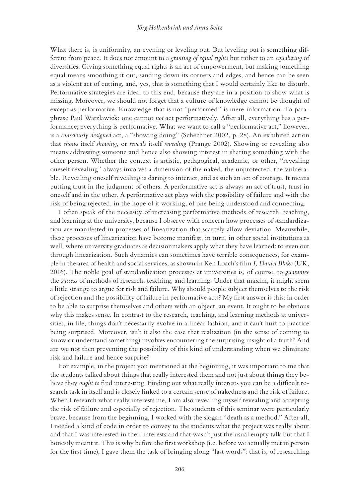What there is, is uniformity, an evening or leveling out. But leveling out is something different from peace. It does not amount to a *granting of equal rights* but rather to an *equalizing* of diversities. Giving something equal rights is an act of empowerment, but making something equal means smoothing it out, sanding down its corners and edges, and hence can be seen as a violent act of cutting, and, yes, that is something that I would certainly like to disturb. Performative strategies are ideal to this end, because they are in a position to show what is missing. Moreover, we should not forget that a culture of knowledge cannot be thought of except as performative. Knowledge that is not "performed" is mere information. To paraphrase Paul Watzlawick: one cannot *not* act performatively. After all, everything has a performance; everything is performative. What we want to call a "performative act," however, is a *consciously designed* act, a "showing doing" (Schechner 2002, p. 28). An exhibited action that *shows* itself *showing*, or *reveals* itself *revealing* (Prange 2002). Showing or revealing also means addressing someone and hence also showing interest in sharing something with the other person. Whether the context is artistic, pedagogical, academic, or other, "revealing oneself revealing" always involves a dimension of the naked, the unprotected, the vulnerable. Revealing oneself revealing is daring to interact, and as such an act of courage. It means putting trust in the judgment of others. A performative act is always an act of trust, trust in oneself and in the other. A performative act plays with the possibility of failure and with the risk of being rejected, in the hope of it working, of one being understood and connecting.

I often speak of the necessity of increasing performative methods of research, teaching, and learning at the university, because I observe with concern how processes of standardization are manifested in processes of linearization that scarcely allow deviation. Meanwhile, these processes of linearization have become manifest, in turn, in other social institutions as well, where university graduates as decisionmakers apply what they have learned: to even out through linearization. Such dynamics can sometimes have terrible consequences, for example in the area of health and social services, as shown in Ken Loach's film *I, Daniel Blake* (UK, 2016). The noble goal of standardization processes at universities is, of course, to *guarantee* the *success* of methods of research, teaching, and learning. Under that maxim, it might seem a little strange to argue for risk and failure. Why should people subject themselves to the risk of rejection and the possibility of failure in performative acts? My first answer is this: in order to be able to surprise themselves and others with an object, an event. It ought to be obvious why this makes sense. In contrast to the research, teaching, and learning methods at universities, in life, things don't necessarily evolve in a linear fashion, and it can't hurt to practice being surprised. Moreover, isn't it also the case that realization (in the sense of coming to know or understand something) involves encountering the surprising insight of a truth? And are we not then preventing the possibility of this kind of understanding when we eliminate risk and failure and hence surprise?

For example, in the project you mentioned at the beginning, it was important to me that the students talked about things that really interested them and not just about things they believe they *ought to* find interesting. Finding out what really interests you can be a difficult research task in itself and is closely linked to a certain sense of nakedness and the risk of failure. When I research what really interests me, I am also revealing myself revealing and accepting the risk of failure and especially of rejection. The students of this seminar were particularly brave, because from the beginning, I worked with the slogan "death as a method." After all, I needed a kind of code in order to convey to the students what the project was really about and that I was interested in their interests and that wasn't just the usual empty talk but that I honestly meant it. This is why before the first workshop (i.e. before we actually met in person for the first time), I gave them the task of bringing along "last words": that is, of researching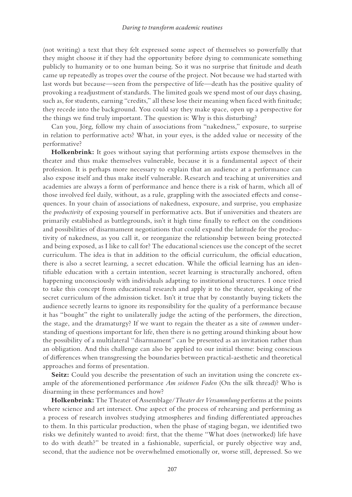(not writing) a text that they felt expressed some aspect of themselves so powerfully that they might choose it if they had the opportunity before dying to communicate something publicly to humanity or to one human being. So it was no surprise that finitude and death came up repeatedly as tropes over the course of the project. Not because we had started with last words but because—seen from the perspective of life—death has the positive quality of provoking a readjustment of standards. The limited goals we spend most of our days chasing, such as, for students, earning "credits," all these lose their meaning when faced with finitude; they recede into the background. You could say they make space, open up a perspective for the things we find truly important. The question is: Why is this disturbing?

Can you, Jörg, follow my chain of associations from "nakedness," exposure, to surprise in relation to performative acts? What, in your eyes, is the added value or necessity of the performative?

**Holkenbrink:** It goes without saying that performing artists expose themselves in the theater and thus make themselves vulnerable, because it is a fundamental aspect of their profession. It is perhaps more necessary to explain that an audience at a performance can also expose itself and thus make itself vulnerable. Research and teaching at universities and academies are always a form of performance and hence there is a risk of harm, which all of those involved feel daily, without, as a rule, grappling with the associated effects and consequences. In your chain of associations of nakedness, exposure, and surprise, you emphasize the *productivity* of exposing yourself in performative acts. But if universities and theaters are primarily established as battlegrounds, isn't it high time finally to reflect on the conditions and possibilities of disarmament negotiations that could expand the latitude for the productivity of nakedness, as you call it, or reorganize the relationship between being protected and being exposed, as I like to call for? The educational sciences use the concept of the secret curriculum. The idea is that in addition to the official curriculum, the official education, there is also a secret learning, a secret education. While the official learning has an identifiable education with a certain intention, secret learning is structurally anchored, often happening unconsciously with individuals adapting to institutional structures. I once tried to take this concept from educational research and apply it to the theater, speaking of the secret curriculum of the admission ticket. Isn't it true that by constantly buying tickets the audience secretly learns to ignore its responsibility for the quality of a performance because it has "bought" the right to unilaterally judge the acting of the performers, the direction, the stage, and the dramaturgy? If we want to regain the theater as a site of *common* understanding of questions important for life, then there is no getting around thinking about how the possibility of a multilateral "disarmament" can be presented as an invitation rather than an obligation. And this challenge can also be applied to our initial theme: being conscious of differences when transgressing the boundaries between practical-aesthetic and theoretical approaches and forms of presentation.

**Seitz:** Could you describe the presentation of such an invitation using the concrete example of the aforementioned performance *Am seidenen Faden* (On the silk thread)? Who is disarming in these performances and how?

**Holkenbrink:** The Theater of Assemblage/*Theater der Versammlung* performs at the points where science and art intersect. One aspect of the process of rehearsing and performing as a process of research involves studying atmospheres and finding differentiated approaches to them. In this particular production, when the phase of staging began, we identified two risks we definitely wanted to avoid: first, that the theme "What does (networked) life have to do with death?" be treated in a fashionable, superficial, or purely objective way and, second, that the audience not be overwhelmed emotionally or, worse still, depressed. So we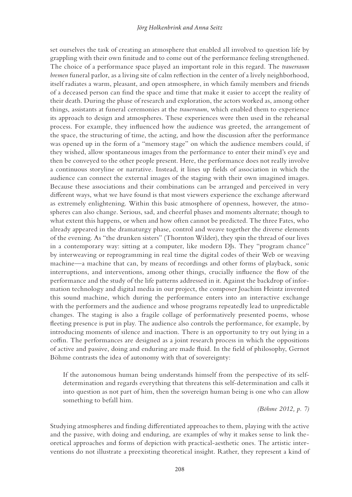#### *Jörg Holkenbrink and Anna Seitz*

set ourselves the task of creating an atmosphere that enabled all involved to question life by grappling with their own finitude and to come out of the performance feeling strengthened. The choice of a performance space played an important role in this regard. The *trauerraum bremen* funeral parlor, as a living site of calm reflection in the center of a lively neighborhood, itself radiates a warm, pleasant, and open atmosphere, in which family members and friends of a deceased person can find the space and time that make it easier to accept the reality of their death. During the phase of research and exploration, the actors worked as, among other things, assistants at funeral ceremonies at the *trauerraum*, which enabled them to experience its approach to design and atmospheres. These experiences were then used in the rehearsal process. For example, they influenced how the audience was greeted, the arrangement of the space, the structuring of time, the acting, and how the discussion after the performance was opened up in the form of a "memory stage" on which the audience members could, if they wished, allow spontaneous images from the performance to enter their mind's eye and then be conveyed to the other people present. Here, the performance does not really involve a continuous storyline or narrative. Instead, it lines up fields of association in which the audience can connect the external images of the staging with their own imagined images. Because these associations and their combinations can be arranged and perceived in very different ways, what we have found is that most viewers experience the exchange afterward as extremely enlightening. Within this basic atmosphere of openness, however, the atmospheres can also change. Serious, sad, and cheerful phases and moments alternate; though to what extent this happens, or when and how often cannot be predicted. The three Fates, who already appeared in the dramaturgy phase, control and weave together the diverse elements of the evening. As "the drunken sisters" (Thornton Wilder), they spin the thread of our lives in a contemporary way: sitting at a computer, like modern DJs. They "program chance" by interweaving or reprogramming in real time the digital codes of their Web or weaving machine—a machine that can, by means of recordings and other forms of playback, sonic interruptions, and interventions, among other things, crucially influence the flow of the performance and the study of the life patterns addressed in it. Against the backdrop of information technology and digital media in our project, the composer Joachim Heintz invented this sound machine, which during the performance enters into an interactive exchange with the performers and the audience and whose programs repeatedly lead to unpredictable changes. The staging is also a fragile collage of performatively presented poems, whose fleeting presence is put in play. The audience also controls the performance, for example, by introducing moments of silence and inaction. There is an opportunity to try out lying in a coffin. The performances are designed as a joint research process in which the oppositions of active and passive, doing and enduring are made fluid. In the field of philosophy, Gernot Böhme contrasts the idea of autonomy with that of sovereignty:

If the autonomous human being understands himself from the perspective of its selfdetermination and regards everything that threatens this self-determination and calls it into question as not part of him, then the sovereign human being is one who can allow something to befall him.

*(Böhme 2012, p. 7)*

Studying atmospheres and finding differentiated approaches to them, playing with the active and the passive, with doing and enduring, are examples of why it makes sense to link theoretical approaches and forms of depiction with practical-aesthetic ones. The artistic interventions do not illustrate a preexisting theoretical insight. Rather, they represent a kind of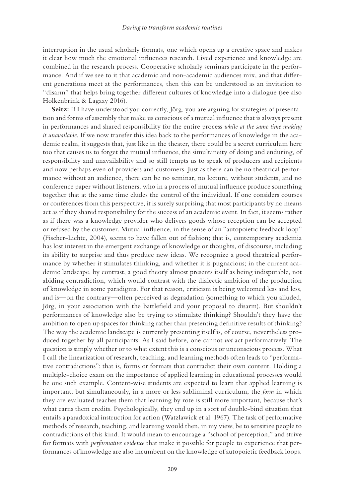interruption in the usual scholarly formats, one which opens up a creative space and makes it clear how much the emotional influences research. Lived experience and knowledge are combined in the research process. Cooperative scholarly seminars participate in the performance. And if we see to it that academic and non-academic audiences mix, and that different generations meet at the performances, then this can be understood as an invitation to "disarm" that helps bring together different cultures of knowledge into a dialogue (see also Holkenbrink & Lagaay 2016).

**Seitz:** If I have understood you correctly, Jörg, you are arguing for strategies of presentation and forms of assembly that make us conscious of a mutual influence that is always present in performances and shared responsibility for the entire process *while at the same time making it unavailable*. If we now transfer this idea back to the performances of knowledge in the academic realm, it suggests that, just like in the theater, there could be a secret curriculum here too that causes us to forget the mutual influence, the simultaneity of doing and enduring, of responsibility and unavailability and so still tempts us to speak of producers and recipients and now perhaps even of providers and customers. Just as there can be no theatrical performance without an audience, there can be no seminar, no lecture, without students, and no conference paper without listeners, who in a process of mutual influence produce something together that at the same time eludes the control of the individual. If one considers courses or conferences from this perspective, it is surely surprising that most participants by no means act as if they shared responsibility for the success of an academic event. In fact, it seems rather as if there was a knowledge provider who delivers goods whose reception can be accepted or refused by the customer. Mutual influence, in the sense of an "autopoietic feedback loop" (Fischer-Lichte, 2004), seems to have fallen out of fashion; that is, contemporary academia has lost interest in the emergent exchange of knowledge or thoughts, of discourse, including its ability to surprise and thus produce new ideas. We recognize a good theatrical performance by whether it stimulates thinking, and whether it is pugnacious; in the current academic landscape, by contrast, a good theory almost presents itself as being indisputable, not abiding contradiction, which would contrast with the dialectic ambition of the production of knowledge in some paradigms. For that reason, criticism is being welcomed less and less, and is—on the contrary—often perceived as degradation (something to which you alluded, Jörg, in your association with the battlefield and your proposal to disarm). But shouldn't performances of knowledge also be trying to stimulate thinking? Shouldn't they have the ambition to open up spaces for thinking rather than presenting definitive results of thinking? The way the academic landscape is currently presenting itself is, of course, nevertheless produced together by all participants. As I said before, one cannot *not* act performatively. The question is simply whether or to what extent this is a conscious or unconscious process. What I call the linearization of research, teaching, and learning methods often leads to "performative contradictions": that is, forms or formats that contradict their own content. Holding a multiple-choice exam on the importance of applied learning in educational processes would be one such example. Content-wise students are expected to learn that applied learning is important, but simultaneously, in a more or less subliminal curriculum, the *form* in which they are evaluated teaches them that learning by rote is still more important, because that's what earns them credits. Psychologically, they end up in a sort of double-bind situation that entails a paradoxical instruction for action (Watzlawick et al. 1967). The task of performative methods of research, teaching, and learning would then, in my view, be to sensitize people to contradictions of this kind. It would mean to encourage a "school of perception," and strive for formats with *performative evidence* that make it possible for people to experience that performances of knowledge are also incumbent on the knowledge of autopoietic feedback loops.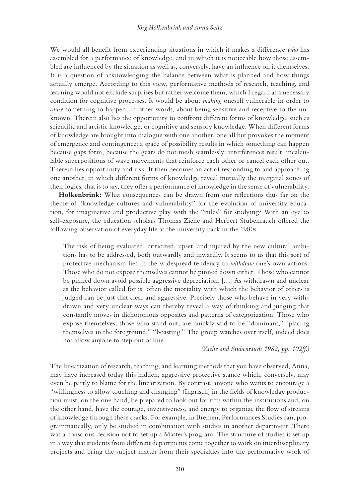We would all benefit from experiencing situations in which it makes a difference *who* has assembled for a performance of knowledge, and in which it is noticeable how those assembled are influenced by the situation as well as, conversely, have an influence on it themselves. It is a question of acknowledging the balance between what is planned and how things actually emerge. According to this view, performative methods of research, teaching, and learning would not exclude surprises but rather welcome them, which I regard as a necessary condition for cognitive processes. It would be about *making* oneself vulnerable in order to *cause* something to happen, in other words, about being sensitive and receptive to the unknown. Therein also lies the opportunity to confront different forms of knowledge, such as scientific and artistic knowledge, or cognitive and sensory knowledge. When different forms of knowledge are brought into dialogue with one another, one all but provokes the moment of emergence and contingence; a space of possibility results in which something can happen because gaps form, because the gears do not mesh seamlessly; interferences result, incalculable superpositions of wave movements that reinforce each other or cancel each other out. Therein lies opportunity and risk. It then becomes an act of responding to and approaching one another, in which different forms of knowledge reveal mutually the marginal zones of their logics; that is to say, they offer a performance of knowledge in the sense of vulnerability.

**Holkenbrink:** What consequences can be drawn from our reflections thus far on the theme of "knowledge cultures and vulnerability" for the evolution of university education, for imaginative and productive play with the "rules" for studying? With an eye to self-exposure, the education scholars Thomas Ziehe and Herbert Stubenrauch offered the following observation of everyday life at the university back in the 1980s:

The risk of being evaluated, criticized, upset, and injured by the new cultural ambitions has to be addressed, both outwardly and inwardly. It seems to us that this sort of protective mechanism lies in the widespread tendency to *withdraw* one's own actions. Those who do not expose themselves cannot be pinned down either. Those who cannot be pinned down avoid possible aggressive depreciation. […] As withdrawn and unclear as the behavior called for is, often the mortality with which the behavior of others is judged can be just that clear and aggressive. Precisely those who behave in very withdrawn and very unclear ways can thereby reveal a way of thinking and judging that constantly moves in dichotomous opposites and patterns of categorization! Those who expose themselves, those who stand out, are quickly said to be "dominant," "placing themselves in the foreground," "boasting." The group watches over itself, indeed does not allow anyone to step out of line.

#### *(Ziehe and Stubenrauch 1982, pp. 102ff.)*

The linearization of research, teaching, and learning methods that you have observed, Anna, may have increased today this hidden, aggressive protective stance which, conversely, may even be partly to blame for the linearization. By contrast, anyone who wants to encourage a "willingness to allow touching and changing" (Ingrisch) in the fields of knowledge production must, on the one hand, be prepared to look out for rifts within the institutions and, on the other hand, have the courage, inventiveness, and energy to organize the flow of streams of knowledge through these cracks. For example, in Bremen, Performances Studies can, programmatically, only be studied in combination with studies in another department. There was a conscious decision not to set up a Master's program. The structure of studies is set up in a way that students from different departments come together to work on interdisciplinary projects and bring the subject matter from their specialties into the performative work of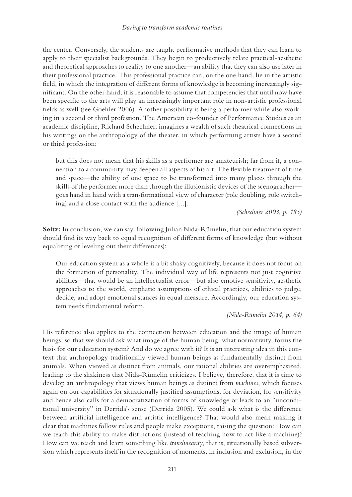the center. Conversely, the students are taught performative methods that they can learn to apply to their specialist backgrounds. They begin to productively relate practical-aesthetic and theoretical approaches to reality to one another—an ability that they can also use later in their professional practice. This professional practice can, on the one hand, lie in the artistic field, in which the integration of different forms of knowledge is becoming increasingly significant. On the other hand, it is reasonable to assume that competencies that until now have been specific to the arts will play an increasingly important role in non-artistic professional fields as well (see Goehler 2006). Another possibility is being a performer while also working in a second or third profession. The American co-founder of Performance Studies as an academic discipline, Richard Schechner, imagines a wealth of such theatrical connections in his writings on the anthropology of the theater, in which performing artists have a second or third profession:

but this does not mean that his skills as a performer are amateurish; far from it, a connection to a community may deepen all aspects of his art. The flexible treatment of time and space—the ability of one space to be transformed into many places through the skills of the performer more than through the illusionistic devices of the scenographer goes hand in hand with a transformational view of character (role doubling, role switching) and a close contact with the audience […].

*(Schechner 2003, p. 185)*

**Seitz:** In conclusion, we can say, following Julian Nida-Rümelin, that our education system should find its way back to equal recognition of different forms of knowledge (but without equalizing or leveling out their differences):

Our education system as a whole is a bit shaky cognitively, because it does not focus on the formation of personality. The individual way of life represents not just cognitive abilities—that would be an intellectualist error—but also emotive sensitivity, aesthetic approaches to the world, emphatic assumptions of ethical practices, abilities to judge, decide, and adopt emotional stances in equal measure. Accordingly, our education system needs fundamental reform.

*(Nida-Rümelin 2014, p. 64)*

His reference also applies to the connection between education and the image of human beings, so that we should ask what image of the human being, what normativity, forms the basis for our education system? And do we agree with it? It is an interesting idea in this context that anthropology traditionally viewed human beings as fundamentally distinct from animals. When viewed as distinct from animals, our rational abilities are overemphasized, leading to the shakiness that Nida-Rümelin criticizes. I believe, therefore, that it is time to develop an anthropology that views human beings as distinct from *machines*, which focuses again on our capabilities for situationally justified assumptions, for deviation, for sensitivity and hence also calls for a democratization of forms of knowledge or leads to an "unconditional university" in Derrida's sense (Derrida 2005). We could ask what is the difference between artificial intelligence and artistic intelligence? That would also mean making it clear that machines follow rules and people make exceptions, raising the question: How can we teach this ability to make distinctions (instead of teaching how to act like a machine)? How can we teach and learn something like *translinearity*, that is, situationally based subversion which represents itself in the recognition of moments, in inclusion and exclusion, in the